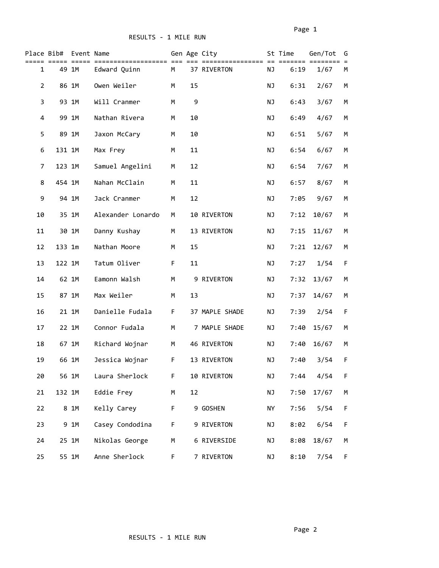|                | Place Bib# | Event Name | ------------      |    |            | Gen Age City   |           | St Time | Gen/Tot | G  |
|----------------|------------|------------|-------------------|----|------------|----------------|-----------|---------|---------|----|
| $\mathbf{1}$   |            | 49 1M      | Edward Quinn      | M  |            | 37 RIVERTON    | NJ        | 6:19    | 1/67    | М  |
| $\overline{2}$ |            | 86 1M      | Owen Weiler       | M  | 15         |                | NJ        | 6:31    | 2/67    | М  |
| 3              |            | 93 1M      | Will Cranmer      | M  | 9          |                | NJ        | 6:43    | 3/67    | М  |
| 4              |            | 99 1M      | Nathan Rivera     | М  | 10         |                | NJ        | 6:49    | 4/67    | М  |
| 5              |            | 89 1M      | Jaxon McCary      | М  | 10         |                | NJ        | 6:51    | 5/67    | М  |
| 6              | 131 1M     |            | Max Frey          | М  | 11         |                | NJ        | 6:54    | 6/67    | М  |
| 7              | 123 1M     |            | Samuel Angelini   | M  | 12         |                | NJ        | 6:54    | 7/67    | M  |
| 8              | 454 1M     |            | Nahan McClain     | M  | ${\bf 11}$ |                | NJ        | 6:57    | 8/67    | M  |
| 9              |            | 94 1M      | Jack Cranmer      | M  | 12         |                | NJ        | 7:05    | 9/67    | М  |
| 10             |            | 35 1M      | Alexander Lonardo | M  |            | 10 RIVERTON    | NJ        | 7:12    | 10/67   | М  |
| 11             |            | 30 1M      | Danny Kushay      | M  |            | 13 RIVERTON    | NJ        | 7:15    | 11/67   | М  |
| 12             | 133 1m     |            | Nathan Moore      | M  | 15         |                | NJ        | 7:21    | 12/67   | М  |
| 13             | 122 1M     |            | Tatum Oliver      | F. | 11         |                | NJ        | 7:27    | 1/54    | F  |
| 14             |            | 62 1M      | Eamonn Walsh      | M  |            | 9 RIVERTON     | NJ        | 7:32    | 13/67   | М  |
| 15             |            | 87 1M      | Max Weiler        | M  | 13         |                | NJ        | 7:37    | 14/67   | М  |
| 16             |            | 21 1M      | Danielle Fudala   | F  |            | 37 MAPLE SHADE | NJ        | 7:39    | 2/54    | F  |
| 17             |            | 22 1M      | Connor Fudala     | M  |            | 7 MAPLE SHADE  | NJ        | 7:40    | 15/67   | М  |
| 18             |            | 67 1M      | Richard Wojnar    | M  |            | 46 RIVERTON    | NJ        | 7:40    | 16/67   | М  |
| 19             |            | 66 1M      | Jessica Wojnar    | F  |            | 13 RIVERTON    | ΝJ        | 7:40    | 3/54    | F  |
| 20             |            | 56 1M      | Laura Sherlock    | F  |            | 10 RIVERTON    | ΝJ        | 7:44    | 4/54    | F  |
| 21             | 132 1M     |            | Eddie Frey        | M  | 12         |                | ΝJ        | 7:50    | 17/67   | М  |
| 22             |            | 8 1M       | Kelly Carey       | F  |            | 9 GOSHEN       | NY        | 7:56    | 5/54    | F  |
| 23             |            | 9 1M       | Casey Condodina   | F  |            | 9 RIVERTON     | ΝJ        | 8:02    | 6/54    | F  |
| 24             |            | 25 1M      | Nikolas George    | M  |            | 6 RIVERSIDE    | NJ        | 8:08    | 18/67   | М  |
| 25             |            | 55 1M      | Anne Sherlock     | F  |            | 7 RIVERTON     | <b>NJ</b> | 8:10    | 7/54    | F. |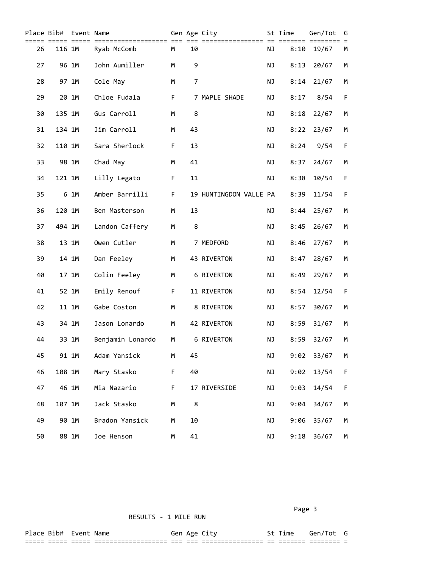| Place Bib# |        | Event Name |                  |   |    | Gen Age City           |           | St Time<br>===== | Gen/Tot | G<br>$=$ |
|------------|--------|------------|------------------|---|----|------------------------|-----------|------------------|---------|----------|
| 26         | 116 1M |            | Ryab McComb      | M | 10 |                        | <b>NJ</b> | 8:10             | 19/67   | M        |
| 27         |        | 96 1M      | John Aumiller    | М | 9  |                        | ΝJ        | 8:13             | 20/67   | M        |
| 28         |        | 97 1M      | Cole May         | M | 7  |                        | ΝJ        | 8:14             | 21/67   | М        |
| 29         |        | 20 1M      | Chloe Fudala     | F |    | 7 MAPLE SHADE          | ΝJ        | 8:17             | 8/54    | F        |
| 30         | 135 1M |            | Gus Carroll      | M | 8  |                        | NJ        | 8:18             | 22/67   | М        |
| 31         | 134 1M |            | Jim Carroll      | M | 43 |                        | NJ        | 8:22             | 23/67   | M        |
| 32         | 110 1M |            | Sara Sherlock    | F | 13 |                        | NJ        | 8:24             | 9/54    | F        |
| 33         | 98 1M  |            | Chad May         | M | 41 |                        | NJ        | 8:37             | 24/67   | М        |
| 34         | 121 1M |            | Lilly Legato     | F | 11 |                        | NJ        | 8:38             | 10/54   | F        |
| 35         |        | 6 1M       | Amber Barrilli   | F |    | 19 HUNTINGDON VALLE PA |           | 8:39             | 11/54   | F        |
| 36         | 120 1M |            | Ben Masterson    | M | 13 |                        | NJ        | 8:44             | 25/67   | М        |
| 37         | 494 1M |            | Landon Caffery   | M | 8  |                        | NJ        | 8:45             | 26/67   | М        |
| 38         |        | 13 1M      | Owen Cutler      | M |    | 7 MEDFORD              | NJ        | 8:46             | 27/67   | М        |
| 39         |        | 14 1M      | Dan Feeley       | M |    | 43 RIVERTON            | NJ        | 8:47             | 28/67   | М        |
| 40         |        | 17 1M      | Colin Feeley     | M |    | 6 RIVERTON             | ΝJ        | 8:49             | 29/67   | М        |
| 41         |        | 52 1M      | Emily Renouf     | F |    | 11 RIVERTON            | ΝJ        | 8:54             | 12/54   | F        |
| 42         |        | 11 1M      | Gabe Coston      | M |    | 8 RIVERTON             | ΝJ        | 8:57             | 30/67   | М        |
| 43         |        | 34 1M      | Jason Lonardo    | M |    | 42 RIVERTON            | ΝJ        | 8:59             | 31/67   | М        |
| 44         |        | 33 1M      | Benjamin Lonardo | M |    | 6 RIVERTON             | ΝJ        | 8:59             | 32/67   | М        |
| 45         |        | 91 1M      | Adam Yansick     | М | 45 |                        | ΝJ        | 9:02             | 33/67   | М        |
| 46         | 108 1M |            | Mary Stasko      | F | 40 |                        | NJ        | 9:02             | 13/54   | F        |
| 47         | 46 1M  |            | Mia Nazario      | F |    | 17 RIVERSIDE           | NJ        | 9:03             | 14/54   | F        |
| 48         | 107 1M |            | Jack Stasko      | М | 8  |                        | NJ        | 9:04             | 34/67   | М        |
| 49         |        | 90 1M      | Bradon Yansick   | M | 10 |                        | NJ        | 9:06             | 35/67   | М        |
| 50         |        | 88 1M      | Joe Henson       | М | 41 |                        | NJ        | 9:18             | 36/67   | М        |

RESULTS - 1 MILE RUN

Page 3 and 2012 and 2012 and 2012 and 2012 and 2012 and 2012 and 2012 and 2012 and 2012 and 2012 and 2012 and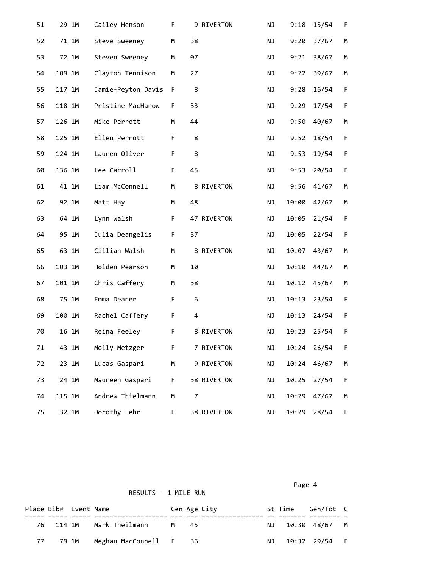| 51 | 29 1M  | Cailey Henson      | F |                         | 9 RIVERTON  | ΝJ | 9:18  | 15/54 | F           |
|----|--------|--------------------|---|-------------------------|-------------|----|-------|-------|-------------|
| 52 | 71 1M  | Steve Sweeney      | M | 38                      |             | ΝJ | 9:20  | 37/67 | М           |
| 53 | 72 1M  | Steven Sweeney     | M | 07                      |             | NJ | 9:21  | 38/67 | М           |
| 54 | 109 1M | Clayton Tennison   | M | 27                      |             | NJ | 9:22  | 39/67 | М           |
| 55 | 117 1M | Jamie-Peyton Davis | F | 8                       |             | NJ | 9:28  | 16/54 | F           |
| 56 | 118 1M | Pristine MacHarow  | F | 33                      |             | NJ | 9:29  | 17/54 | $\mathsf F$ |
| 57 | 126 1M | Mike Perrott       | M | 44                      |             | NJ | 9:50  | 40/67 | М           |
| 58 | 125 1M | Ellen Perrott      | F | 8                       |             | NJ | 9:52  | 18/54 | $\mathsf F$ |
| 59 | 124 1M | Lauren Oliver      | F | 8                       |             | NJ | 9:53  | 19/54 | $\mathsf F$ |
| 60 | 136 1M | Lee Carroll        | F | 45                      |             | NJ | 9:53  | 20/54 | F           |
| 61 | 41 1M  | Liam McConnell     | M |                         | 8 RIVERTON  | NJ | 9:56  | 41/67 | М           |
| 62 | 92 1M  | Matt Hay           | M | 48                      |             | NJ | 10:00 | 42/67 | М           |
| 63 | 64 1M  | Lynn Walsh         | F |                         | 47 RIVERTON | NJ | 10:05 | 21/54 | F           |
| 64 | 95 1M  | Julia Deangelis    | F | 37                      |             | NJ | 10:05 | 22/54 | F           |
| 65 | 63 1M  | Cillian Walsh      | M |                         | 8 RIVERTON  | NJ | 10:07 | 43/67 | М           |
| 66 | 103 1M | Holden Pearson     | M | 10                      |             | NJ | 10:10 | 44/67 | М           |
| 67 | 101 1M | Chris Caffery      | М | 38                      |             | NJ | 10:12 | 45/67 | М           |
| 68 | 75 1M  | Emma Deaner        | F | 6                       |             | NJ | 10:13 | 23/54 | $\mathsf F$ |
| 69 | 100 1M | Rachel Caffery     | F | $\overline{\mathbf{4}}$ |             | NJ | 10:13 | 24/54 | F           |
| 70 | 16 1M  | Reina Feeley       | F |                         | 8 RIVERTON  | NJ | 10:23 | 25/54 | F           |
| 71 | 43 1M  | Molly Metzger      | F |                         | 7 RIVERTON  | ΝJ | 10:24 | 26/54 | F           |
| 72 | 23 1M  | Lucas Gaspari      | М |                         | 9 RIVERTON  | ΝJ | 10:24 | 46/67 | М           |
| 73 | 24 1M  | Maureen Gaspari    | F |                         | 38 RIVERTON | ΝJ | 10:25 | 27/54 | F           |
| 74 | 115 1M | Andrew Thielmann   | М | 7                       |             | ΝJ | 10:29 | 47/67 | М           |
| 75 | 32 1M  | Dorothy Lehr       | F |                         | 38 RIVERTON | NJ | 10:29 | 28/54 | F           |

| RESULTS - 1 MILE RUN |
|----------------------|
|                      |

|  | Page 4 |
|--|--------|
|  |        |

|      | Place Bib# Event Name |                        |      | Gen Age City |    | St Time | Gen/Tot G       |  |
|------|-----------------------|------------------------|------|--------------|----|---------|-----------------|--|
|      |                       |                        |      |              |    |         |                 |  |
| 76 — | 114 1M                | Mark Theilmann         | M 45 |              | NJ |         | 10:30 48/67 M   |  |
|      | 79 1M                 | Meghan MacConnell F 36 |      |              | NJ |         | 10:32  29/54  F |  |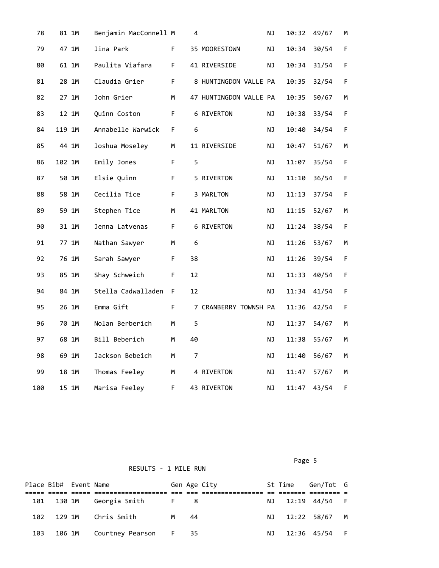| 78  | 81 1M  | Benjamin MacConnell M |             | 4  |                        | NJ        | 10:32 | 49/67 | М  |
|-----|--------|-----------------------|-------------|----|------------------------|-----------|-------|-------|----|
| 79  | 47 1M  | Jina Park             | F.          |    | 35 MOORESTOWN          | <b>NJ</b> | 10:34 | 30/54 | F  |
| 80  | 61 1M  | Paulita Viafara       | F.          |    | 41 RIVERSIDE           | NJ        | 10:34 | 31/54 | F  |
| 81  | 28 1M  | Claudia Grier         | F           |    | 8 HUNTINGDON VALLE PA  |           | 10:35 | 32/54 | F. |
| 82  | 27 1M  | John Grier            | М           |    | 47 HUNTINGDON VALLE PA |           | 10:35 | 50/67 | М  |
| 83  | 12 1M  | Quinn Coston          | $\mathsf F$ |    | 6 RIVERTON             | ΝJ        | 10:38 | 33/54 | F. |
| 84  | 119 1M | Annabelle Warwick     | F.          | 6  |                        | ΝJ        | 10:40 | 34/54 | F  |
| 85  | 44 1M  | Joshua Moseley        | М           |    | 11 RIVERSIDE           | NJ        | 10:47 | 51/67 | М  |
| 86  | 102 1M | Emily Jones           | F.          | 5  |                        | ΝJ        | 11:07 | 35/54 | F  |
| 87  | 50 1M  | Elsie Quinn           | F.          |    | 5 RIVERTON             | <b>NJ</b> | 11:10 | 36/54 | F  |
| 88  | 58 1M  | Cecilia Tice          | F.          |    | 3 MARLTON              | <b>NJ</b> | 11:13 | 37/54 | F  |
| 89  | 59 1M  | Stephen Tice          | M           |    | 41 MARLTON             | ΝJ        | 11:15 | 52/67 | М  |
| 90  | 31 1M  | Jenna Latvenas        | F.          |    | 6 RIVERTON             | ΝJ        | 11:24 | 38/54 | F. |
| 91  | 77 1M  | Nathan Sawyer         | M           | 6  |                        | <b>NJ</b> | 11:26 | 53/67 | M  |
| 92  | 76 1M  | Sarah Sawyer          | F.          | 38 |                        | ΝJ        | 11:26 | 39/54 | F. |
| 93  | 85 1M  | Shay Schweich         | F.          | 12 |                        | <b>NJ</b> | 11:33 | 40/54 | F. |
| 94  | 84 1M  | Stella Cadwalladen    | F.          | 12 |                        | ΝJ        | 11:34 | 41/54 | F  |
| 95  | 26 1M  | Emma Gift             | F.          |    | 7 CRANBERRY TOWNSH PA  |           | 11:36 | 42/54 | F  |
| 96  | 70 1M  | Nolan Berberich       | M           | 5  |                        | NJ        | 11:37 | 54/67 | М  |
| 97  | 68 1M  | Bill Beberich         | M           | 40 |                        | <b>NJ</b> | 11:38 | 55/67 | М  |
| 98  | 69 1M  | Jackson Bebeich       | М           | 7  |                        | ΝJ        | 11:40 | 56/67 | М  |
| 99  | 18 1M  | Thomas Feeley         | М           |    | 4 RIVERTON             | ΝJ        | 11:47 | 57/67 | М  |
| 100 | 15 1M  | Marisa Feeley         | F           |    | 43 RIVERTON            | ΝJ        | 11:47 | 43/54 | F  |

RESULTS - 1 MILE RUN

Page 5 and 2012 and 2012 and 2012 and 2012 and 2012 and 2012 and 2012 and 2012 and 2012 and 2012 and 2012 and

|     | Place Bib# Event Name |                                        |      | Gen Age City | St Time | Gen/Tot G        |  |
|-----|-----------------------|----------------------------------------|------|--------------|---------|------------------|--|
|     |                       |                                        |      |              |         |                  |  |
|     |                       | 101 130 1M Georgia Smith<br><b>F</b> 8 |      |              |         | NJ 12:19 44/54 F |  |
|     |                       | 102 129 1M Chris Smith                 | M 44 |              |         | NJ 12:22 58/67 M |  |
| 103 |                       | 106 1M   Courtney Pearson   F   35     |      |              |         | NJ 12:36 45/54 F |  |